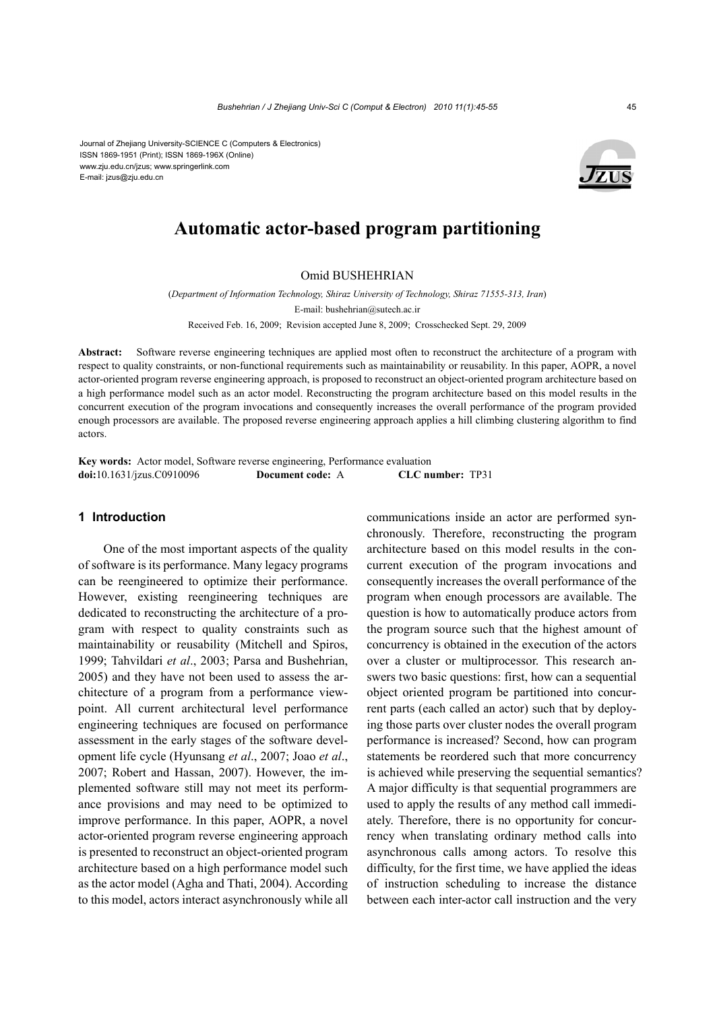Journal of Zhejiang University-SCIENCE C (Computers & Electronics) ISSN 1869-1951 (Print); ISSN 1869-196X (Online) www.zju.edu.cn/jzus; www.springerlink.com E-mail: jzus@zju.edu.cn



# **Automatic actor-based program partitioning**

#### Omid BUSHEHRIAN

(*Department of Information Technology, Shiraz University of Technology, Shiraz 71555-313, Iran*) E-mail: bushehrian@sutech.ac.ir Received Feb. 16, 2009; Revision accepted June 8, 2009; Crosschecked Sept. 29, 2009

**Abstract:** Software reverse engineering techniques are applied most often to reconstruct the architecture of a program with respect to quality constraints, or non-functional requirements such as maintainability or reusability. In this paper, AOPR, a novel actor-oriented program reverse engineering approach, is proposed to reconstruct an object-oriented program architecture based on a high performance model such as an actor model. Reconstructing the program architecture based on this model results in the concurrent execution of the program invocations and consequently increases the overall performance of the program provided enough processors are available. The proposed reverse engineering approach applies a hill climbing clustering algorithm to find actors.

**Key words:** Actor model, Software reverse engineering, Performance evaluation **doi:**10.1631/jzus.C0910096 **Document code:** A **CLC number:** TP31

# **1 Introduction**

One of the most important aspects of the quality of software is its performance. Many legacy programs can be reengineered to optimize their performance. However, existing reengineering techniques are dedicated to reconstructing the architecture of a program with respect to quality constraints such as maintainability or reusability (Mitchell and Spiros, 1999; Tahvildari *et al*., 2003; Parsa and Bushehrian, 2005) and they have not been used to assess the architecture of a program from a performance viewpoint. All current architectural level performance engineering techniques are focused on performance assessment in the early stages of the software development life cycle (Hyunsang *et al*., 2007; Joao *et al*., 2007; Robert and Hassan, 2007). However, the implemented software still may not meet its performance provisions and may need to be optimized to improve performance. In this paper, AOPR, a novel actor-oriented program reverse engineering approach is presented to reconstruct an object-oriented program architecture based on a high performance model such as the actor model (Agha and Thati, 2004). According to this model, actors interact asynchronously while all communications inside an actor are performed synchronously. Therefore, reconstructing the program architecture based on this model results in the concurrent execution of the program invocations and consequently increases the overall performance of the program when enough processors are available. The question is how to automatically produce actors from the program source such that the highest amount of concurrency is obtained in the execution of the actors over a cluster or multiprocessor. This research answers two basic questions: first, how can a sequential object oriented program be partitioned into concurrent parts (each called an actor) such that by deploying those parts over cluster nodes the overall program performance is increased? Second, how can program statements be reordered such that more concurrency is achieved while preserving the sequential semantics? A major difficulty is that sequential programmers are used to apply the results of any method call immediately. Therefore, there is no opportunity for concurrency when translating ordinary method calls into asynchronous calls among actors. To resolve this difficulty, for the first time, we have applied the ideas of instruction scheduling to increase the distance between each inter-actor call instruction and the very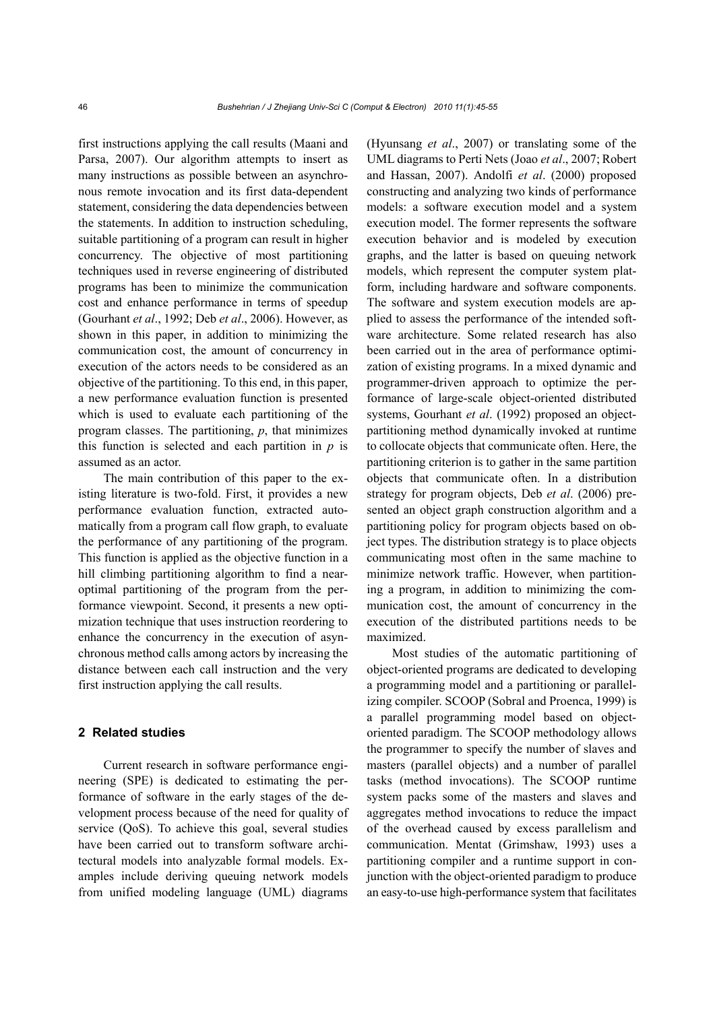first instructions applying the call results (Maani and Parsa, 2007). Our algorithm attempts to insert as many instructions as possible between an asynchronous remote invocation and its first data-dependent statement, considering the data dependencies between the statements. In addition to instruction scheduling, suitable partitioning of a program can result in higher concurrency. The objective of most partitioning techniques used in reverse engineering of distributed programs has been to minimize the communication cost and enhance performance in terms of speedup (Gourhant *et al*., 1992; Deb *et al*., 2006). However, as shown in this paper, in addition to minimizing the communication cost, the amount of concurrency in execution of the actors needs to be considered as an objective of the partitioning. To this end, in this paper, a new performance evaluation function is presented which is used to evaluate each partitioning of the program classes. The partitioning, *p*, that minimizes this function is selected and each partition in  $p$  is assumed as an actor.

The main contribution of this paper to the existing literature is two-fold. First, it provides a new performance evaluation function, extracted automatically from a program call flow graph, to evaluate the performance of any partitioning of the program. This function is applied as the objective function in a hill climbing partitioning algorithm to find a nearoptimal partitioning of the program from the performance viewpoint. Second, it presents a new optimization technique that uses instruction reordering to enhance the concurrency in the execution of asynchronous method calls among actors by increasing the distance between each call instruction and the very first instruction applying the call results.

# **2 Related studies**

Current research in software performance engineering (SPE) is dedicated to estimating the performance of software in the early stages of the development process because of the need for quality of service (QoS). To achieve this goal, several studies have been carried out to transform software architectural models into analyzable formal models. Examples include deriving queuing network models from unified modeling language (UML) diagrams (Hyunsang *et al*., 2007) or translating some of the UML diagrams to Perti Nets (Joao *et al*., 2007; Robert and Hassan, 2007). Andolfi *et al*. (2000) proposed constructing and analyzing two kinds of performance models: a software execution model and a system execution model. The former represents the software execution behavior and is modeled by execution graphs, and the latter is based on queuing network models, which represent the computer system platform, including hardware and software components. The software and system execution models are applied to assess the performance of the intended software architecture. Some related research has also been carried out in the area of performance optimization of existing programs. In a mixed dynamic and programmer-driven approach to optimize the performance of large-scale object-oriented distributed systems, Gourhant *et al*. (1992) proposed an objectpartitioning method dynamically invoked at runtime to collocate objects that communicate often. Here, the partitioning criterion is to gather in the same partition objects that communicate often. In a distribution strategy for program objects, Deb *et al*. (2006) presented an object graph construction algorithm and a partitioning policy for program objects based on object types. The distribution strategy is to place objects communicating most often in the same machine to minimize network traffic. However, when partitioning a program, in addition to minimizing the communication cost, the amount of concurrency in the execution of the distributed partitions needs to be maximized.

Most studies of the automatic partitioning of object-oriented programs are dedicated to developing a programming model and a partitioning or parallelizing compiler. SCOOP (Sobral and Proenca, 1999) is a parallel programming model based on objectoriented paradigm. The SCOOP methodology allows the programmer to specify the number of slaves and masters (parallel objects) and a number of parallel tasks (method invocations). The SCOOP runtime system packs some of the masters and slaves and aggregates method invocations to reduce the impact of the overhead caused by excess parallelism and communication. Mentat (Grimshaw, 1993) uses a partitioning compiler and a runtime support in conjunction with the object-oriented paradigm to produce an easy-to-use high-performance system that facilitates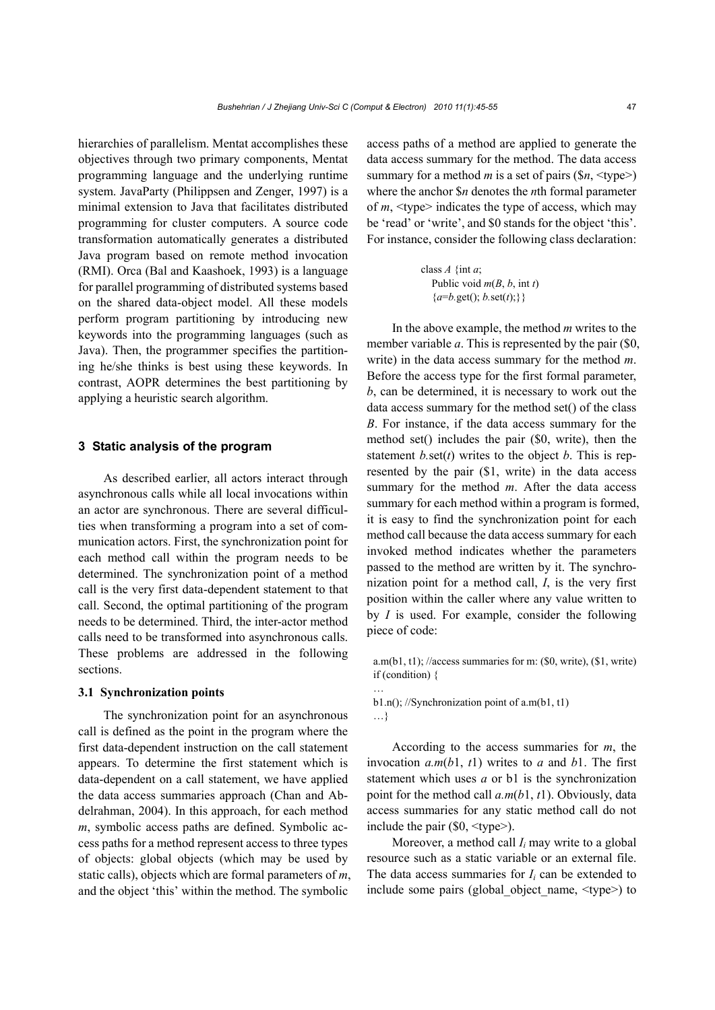hierarchies of parallelism. Mentat accomplishes these objectives through two primary components, Mentat programming language and the underlying runtime system. JavaParty (Philippsen and Zenger, 1997) is a minimal extension to Java that facilitates distributed programming for cluster computers. A source code transformation automatically generates a distributed Java program based on remote method invocation (RMI). Orca (Bal and Kaashoek, 1993) is a language for parallel programming of distributed systems based on the shared data-object model. All these models perform program partitioning by introducing new keywords into the programming languages (such as Java). Then, the programmer specifies the partitioning he/she thinks is best using these keywords. In contrast, AOPR determines the best partitioning by applying a heuristic search algorithm.

#### **3 Static analysis of the program**

As described earlier, all actors interact through asynchronous calls while all local invocations within an actor are synchronous. There are several difficulties when transforming a program into a set of communication actors. First, the synchronization point for each method call within the program needs to be determined. The synchronization point of a method call is the very first data-dependent statement to that call. Second, the optimal partitioning of the program needs to be determined. Third, the inter-actor method calls need to be transformed into asynchronous calls. These problems are addressed in the following sections.

#### **3.1 Synchronization points**

The synchronization point for an asynchronous call is defined as the point in the program where the first data-dependent instruction on the call statement appears. To determine the first statement which is data-dependent on a call statement, we have applied the data access summaries approach (Chan and Abdelrahman, 2004). In this approach, for each method *m*, symbolic access paths are defined. Symbolic access paths for a method represent access to three types of objects: global objects (which may be used by static calls), objects which are formal parameters of *m*, and the object 'this' within the method. The symbolic

access paths of a method are applied to generate the data access summary for the method. The data access summary for a method *m* is a set of pairs  $(\$n, \lt{type}>)$ where the anchor \$*n* denotes the *n*th formal parameter of *m*, <type> indicates the type of access, which may be 'read' or 'write', and \$0 stands for the object 'this'. For instance, consider the following class declaration:

> class *A* {int *a*; Public void *m*(*B*, *b*, int *t*) {*a*=*b.*get(); *b.*set(*t*);}}

In the above example, the method *m* writes to the member variable *a*. This is represented by the pair (\$0, write) in the data access summary for the method *m*. Before the access type for the first formal parameter, *b*, can be determined, it is necessary to work out the data access summary for the method set() of the class *B*. For instance, if the data access summary for the method set() includes the pair (\$0, write), then the statement  $b.\text{set}(t)$  writes to the object  $b$ . This is represented by the pair (\$1, write) in the data access summary for the method *m*. After the data access summary for each method within a program is formed, it is easy to find the synchronization point for each method call because the data access summary for each invoked method indicates whether the parameters passed to the method are written by it. The synchronization point for a method call, *I*, is the very first position within the caller where any value written to by *I* is used. For example, consider the following piece of code:

a.m(b1, t1); //access summaries for m:  $$0, write)$ ,  $$1, write)$ if (condition) {

```
b1.n(); //Synchronization point of a.m(b1, t1) 
…}
```
…

According to the access summaries for *m*, the invocation *a.m*(*b*1, *t*1) writes to *a* and *b*1. The first statement which uses *a* or b1 is the synchronization point for the method call *a.m*(*b*1, *t*1). Obviously, data access summaries for any static method call do not include the pair (\$0, <type>).

Moreover, a method call *Ii* may write to a global resource such as a static variable or an external file. The data access summaries for *Ii* can be extended to include some pairs (global object name,  $\langle$ type $\rangle$ ) to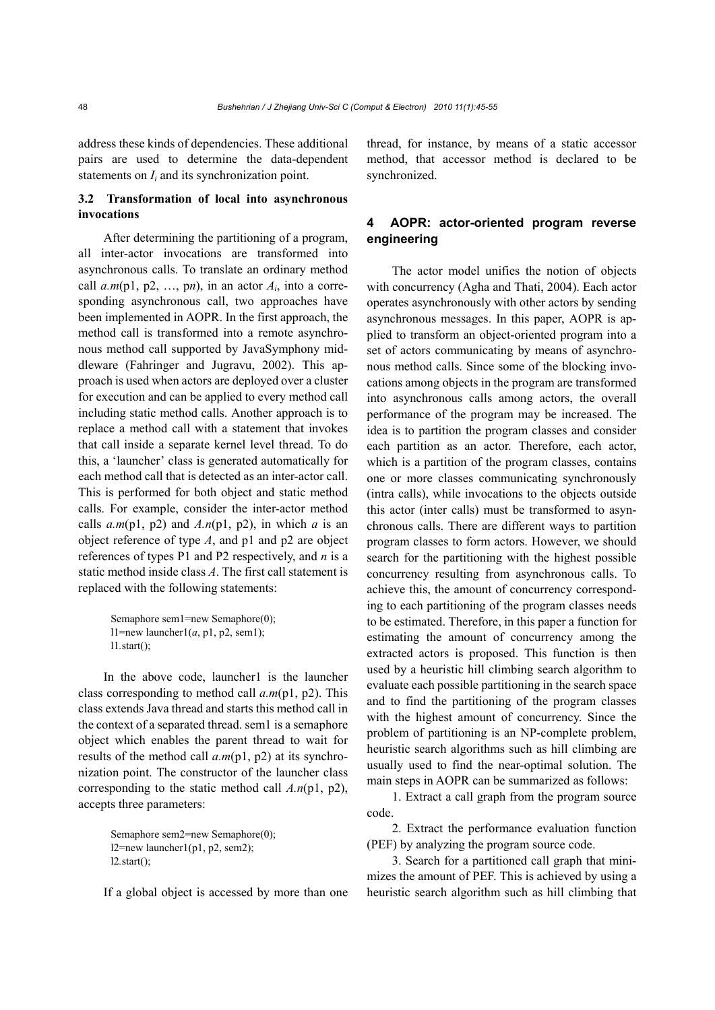address these kinds of dependencies. These additional pairs are used to determine the data-dependent statements on  $I_i$  and its synchronization point.

# **3.2 Transformation of local into asynchronous invocations**

After determining the partitioning of a program, all inter-actor invocations are transformed into asynchronous calls. To translate an ordinary method call  $a.m(p1, p2, ..., pn)$ , in an actor  $A_i$ , into a corresponding asynchronous call, two approaches have been implemented in AOPR. In the first approach, the method call is transformed into a remote asynchronous method call supported by JavaSymphony middleware (Fahringer and Jugravu, 2002). This approach is used when actors are deployed over a cluster for execution and can be applied to every method call including static method calls. Another approach is to replace a method call with a statement that invokes that call inside a separate kernel level thread. To do this, a 'launcher' class is generated automatically for each method call that is detected as an inter-actor call. This is performed for both object and static method calls. For example, consider the inter-actor method calls  $a.m(p1, p2)$  and  $A.n(p1, p2)$ , in which *a* is an object reference of type *A*, and p1 and p2 are object references of types P1 and P2 respectively, and *n* is a static method inside class *A*. The first call statement is replaced with the following statements:

> Semaphore sem1=new Semaphore(0); l1=new launcher1 $(a, p1, p2, sem1)$ ; l1*.*start();

In the above code, launcher1 is the launcher class corresponding to method call *a.m*(p1, p2). This class extends Java thread and starts this method call in the context of a separated thread. sem1 is a semaphore object which enables the parent thread to wait for results of the method call *a.m*(p1, p2) at its synchronization point. The constructor of the launcher class corresponding to the static method call *A.n*(p1, p2), accepts three parameters:

> Semaphore sem2=new Semaphore(0);  $l2$ =new launcher1(p1, p2, sem2); l2*.*start();

If a global object is accessed by more than one

thread, for instance, by means of a static accessor method, that accessor method is declared to be synchronized.

# **4 AOPR: actor-oriented program reverse engineering**

The actor model unifies the notion of objects with concurrency (Agha and Thati, 2004). Each actor operates asynchronously with other actors by sending asynchronous messages. In this paper, AOPR is applied to transform an object-oriented program into a set of actors communicating by means of asynchronous method calls. Since some of the blocking invocations among objects in the program are transformed into asynchronous calls among actors, the overall performance of the program may be increased. The idea is to partition the program classes and consider each partition as an actor. Therefore, each actor, which is a partition of the program classes, contains one or more classes communicating synchronously (intra calls), while invocations to the objects outside this actor (inter calls) must be transformed to asynchronous calls. There are different ways to partition program classes to form actors. However, we should search for the partitioning with the highest possible concurrency resulting from asynchronous calls. To achieve this, the amount of concurrency corresponding to each partitioning of the program classes needs to be estimated. Therefore, in this paper a function for estimating the amount of concurrency among the extracted actors is proposed. This function is then used by a heuristic hill climbing search algorithm to evaluate each possible partitioning in the search space and to find the partitioning of the program classes with the highest amount of concurrency. Since the problem of partitioning is an NP-complete problem, heuristic search algorithms such as hill climbing are usually used to find the near-optimal solution. The main steps in AOPR can be summarized as follows:

1. Extract a call graph from the program source code.

2. Extract the performance evaluation function (PEF) by analyzing the program source code.

3. Search for a partitioned call graph that minimizes the amount of PEF. This is achieved by using a heuristic search algorithm such as hill climbing that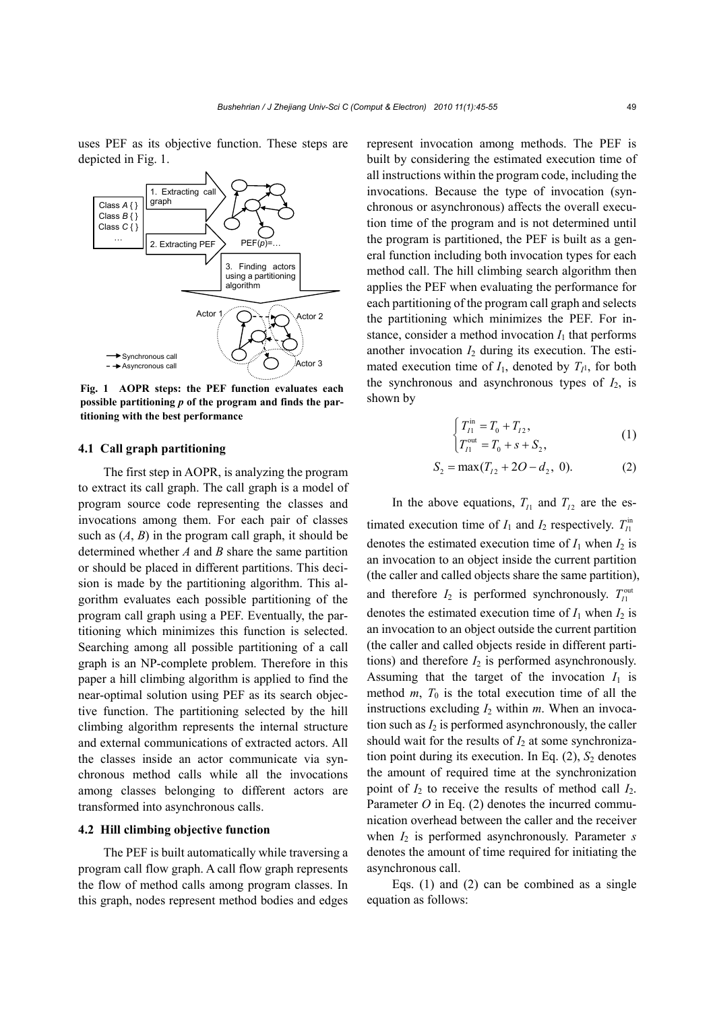uses PEF as its objective function. These steps are depicted in Fig. 1.



**Fig. 1 AOPR steps: the PEF function evaluates each possible partitioning** *p* **of the program and finds the partitioning with the best performance** 

#### **4.1 Call graph partitioning**

The first step in AOPR, is analyzing the program to extract its call graph. The call graph is a model of program source code representing the classes and invocations among them. For each pair of classes such as  $(A, B)$  in the program call graph, it should be determined whether *A* and *B* share the same partition or should be placed in different partitions. This decision is made by the partitioning algorithm. This algorithm evaluates each possible partitioning of the program call graph using a PEF. Eventually, the partitioning which minimizes this function is selected. Searching among all possible partitioning of a call graph is an NP-complete problem. Therefore in this paper a hill climbing algorithm is applied to find the near-optimal solution using PEF as its search objective function. The partitioning selected by the hill climbing algorithm represents the internal structure and external communications of extracted actors. All the classes inside an actor communicate via synchronous method calls while all the invocations among classes belonging to different actors are transformed into asynchronous calls.

#### **4.2 Hill climbing objective function**

The PEF is built automatically while traversing a program call flow graph. A call flow graph represents the flow of method calls among program classes. In this graph, nodes represent method bodies and edges represent invocation among methods. The PEF is built by considering the estimated execution time of all instructions within the program code, including the invocations. Because the type of invocation (synchronous or asynchronous) affects the overall execution time of the program and is not determined until the program is partitioned, the PEF is built as a general function including both invocation types for each method call. The hill climbing search algorithm then applies the PEF when evaluating the performance for each partitioning of the program call graph and selects the partitioning which minimizes the PEF. For instance, consider a method invocation  $I_1$  that performs another invocation  $I_2$  during its execution. The estimated execution time of  $I_1$ , denoted by  $T_{I_1}$ , for both the synchronous and asynchronous types of  $I_2$ , is shown by

$$
\begin{cases}\nT_{I1}^{\text{in}} = T_0 + T_{I2}, \nT_{I1}^{\text{out}} = T_0 + s + S_2,\n\end{cases}
$$
\n(1)

$$
S_2 = \max(T_{12} + 2O - d_2, 0). \tag{2}
$$

In the above equations,  $T_{I1}$  and  $T_{I2}$  are the estimated execution time of  $I_1$  and  $I_2$  respectively.  $T_{I_1}^{in}$ denotes the estimated execution time of  $I_1$  when  $I_2$  is an invocation to an object inside the current partition (the caller and called objects share the same partition), and therefore  $I_2$  is performed synchronously.  $T_{I1}^{\text{out}}$ denotes the estimated execution time of  $I_1$  when  $I_2$  is an invocation to an object outside the current partition (the caller and called objects reside in different partitions) and therefore  $I_2$  is performed asynchronously. Assuming that the target of the invocation  $I_1$  is method  $m$ ,  $T_0$  is the total execution time of all the instructions excluding  $I_2$  within  $m$ . When an invocation such as  $I_2$  is performed asynchronously, the caller should wait for the results of  $I_2$  at some synchronization point during its execution. In Eq.  $(2)$ ,  $S_2$  denotes the amount of required time at the synchronization point of  $I_2$  to receive the results of method call  $I_2$ . Parameter *O* in Eq. (2) denotes the incurred communication overhead between the caller and the receiver when  $I_2$  is performed asynchronously. Parameter *s* denotes the amount of time required for initiating the asynchronous call.

Eqs. (1) and (2) can be combined as a single equation as follows: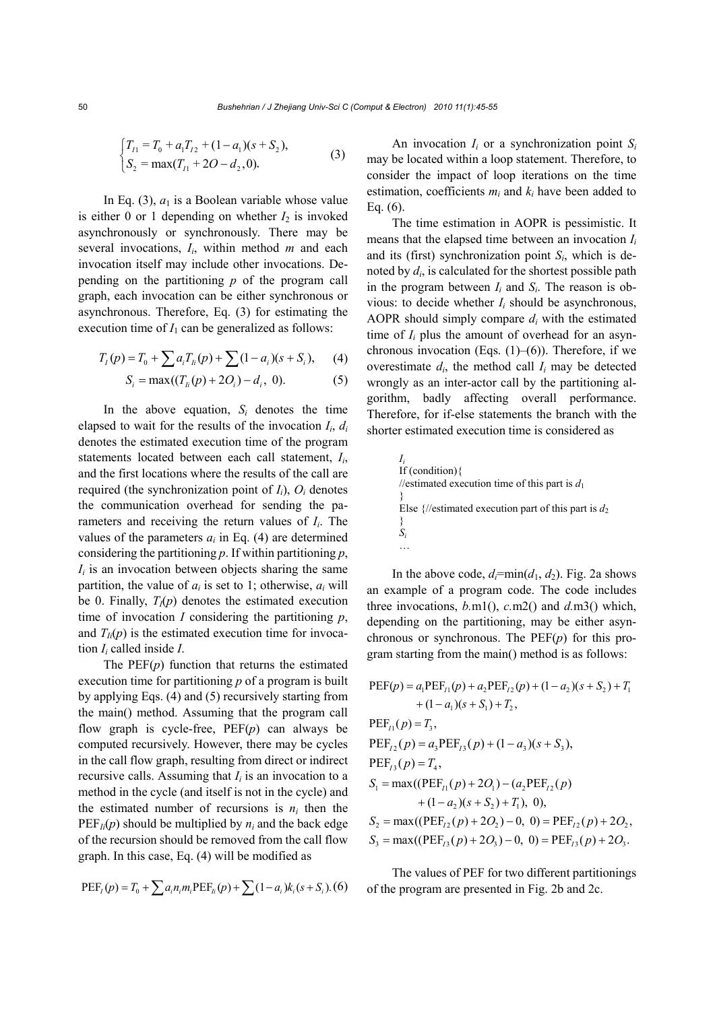$$
\begin{cases}\nT_{I1} = T_0 + a_1 T_{I2} + (1 - a_1)(s + S_2), \\
S_2 = \max(T_{I1} + 2O - d_2, 0).\n\end{cases}
$$
\n(3)

In Eq.  $(3)$ ,  $a_1$  is a Boolean variable whose value is either 0 or 1 depending on whether  $I_2$  is invoked asynchronously or synchronously. There may be several invocations, *Ii*, within method *m* and each invocation itself may include other invocations. Depending on the partitioning *p* of the program call graph, each invocation can be either synchronous or asynchronous. Therefore, Eq. (3) for estimating the execution time of  $I_1$  can be generalized as follows:

$$
T_{I}(p) = T_{0} + \sum a_{i} T_{I_{i}}(p) + \sum (1 - a_{i})(s + S_{i}), \quad (4)
$$

$$
S_i = \max((T_{I_i}(p) + 2O_i) - d_i, 0). \tag{5}
$$

In the above equation, *Si* denotes the time elapsed to wait for the results of the invocation *Ii*, *di* denotes the estimated execution time of the program statements located between each call statement, *Ii*, and the first locations where the results of the call are required (the synchronization point of  $I_i$ ),  $O_i$  denotes the communication overhead for sending the parameters and receiving the return values of *Ii*. The values of the parameters  $a_i$  in Eq. (4) are determined considering the partitioning *p*. If within partitioning *p*,  $I_i$  is an invocation between objects sharing the same partition, the value of  $a_i$  is set to 1; otherwise,  $a_i$  will be 0. Finally,  $T_I(p)$  denotes the estimated execution time of invocation *I* considering the partitioning *p*, and  $T_{Ii}(p)$  is the estimated execution time for invocation *Ii* called inside *I*.

The  $PEF(p)$  function that returns the estimated execution time for partitioning *p* of a program is built by applying Eqs. (4) and (5) recursively starting from the main() method. Assuming that the program call flow graph is cycle-free,  $PEF(p)$  can always be computed recursively. However, there may be cycles in the call flow graph, resulting from direct or indirect recursive calls. Assuming that  $I_i$  is an invocation to a method in the cycle (and itself is not in the cycle) and the estimated number of recursions is  $n_i$  then the  $PEF<sub>Ii</sub>(p)$  should be multiplied by  $n<sub>i</sub>$  and the back edge of the recursion should be removed from the call flow graph. In this case, Eq. (4) will be modified as

PEF<sub>I</sub>(p) = T<sub>0</sub> + 
$$
\sum a_i n_i m_i
$$
PEF<sub>II</sub>(p) +  $\sum$  (1- $a_i$ )k<sub>i</sub>(s + S<sub>i</sub>). (6)

An invocation  $I_i$  or a synchronization point  $S_i$ may be located within a loop statement. Therefore, to consider the impact of loop iterations on the time estimation, coefficients *mi* and *ki* have been added to Eq. (6).

The time estimation in AOPR is pessimistic. It means that the elapsed time between an invocation *Ii* and its (first) synchronization point  $S_i$ , which is denoted by  $d_i$ , is calculated for the shortest possible path in the program between  $I_i$  and  $S_i$ . The reason is obvious: to decide whether *Ii* should be asynchronous, AOPR should simply compare *di* with the estimated time of  $I_i$  plus the amount of overhead for an asynchronous invocation (Eqs.  $(1)$ – $(6)$ ). Therefore, if we overestimate  $d_i$ , the method call  $I_i$  may be detected wrongly as an inter-actor call by the partitioning algorithm, badly affecting overall performance. Therefore, for if-else statements the branch with the shorter estimated execution time is considered as

| $I_i$                                                  |
|--------------------------------------------------------|
| If $(condition)$                                       |
| //estimated execution time of this part is $d_1$       |
|                                                        |
| Else {//estimated execution part of this part is $d_2$ |
|                                                        |
| $S_i$                                                  |
|                                                        |

In the above code,  $d_f = min(d_1, d_2)$ . Fig. 2a shows an example of a program code. The code includes three invocations, *b.*m1(), *c.*m2() and *d.*m3() which, depending on the partitioning, may be either asynchronous or synchronous. The PEF(*p*) for this program starting from the main() method is as follows:

$$
PEF(p) = a_1PEF_{I1}(p) + a_2PEF_{I2}(p) + (1 - a_2)(s + S_2) + T_1
$$
  
+ (1 - a\_1)(s + S\_1) + T\_2,  
PEF<sub>I1</sub>(p) = T\_3,  

$$
PEF_{I2}(p) = a_3PEF_{I3}(p) + (1 - a_3)(s + S_3),
$$

$$
PEFI3(p) = T_4,
$$

$$
S_1 = max((PEFI1(p) + 2O_1) - (a_2PEFI2(p) + (1 - a_2)(s + S_2) + T_1), 0),
$$

$$
S_2 = max((PEFI2(p) + 2O_2) - 0, 0) = PEFI2(p) + 2O_2,
$$

$$
S_3 = max((PEFI3(p) + 2O_3) - 0, 0) = PEFI3(p) + 2O_3.
$$

The values of PEF for two different partitionings of the program are presented in Fig. 2b and 2c.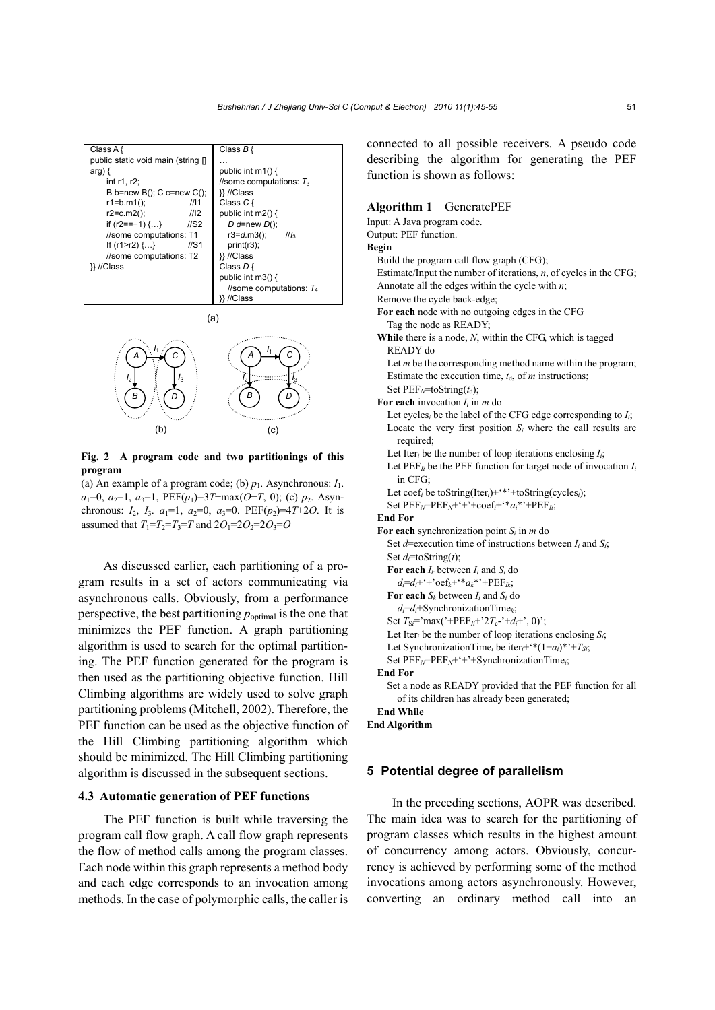| Class $A\{$                          | Class $B\{$                         |  |
|--------------------------------------|-------------------------------------|--|
| public static void main (string []   | .                                   |  |
| $arg)$ {                             | public int $m1()$ {                 |  |
| int $r1$ , $r2$ ;                    | //some computations: $T_3$          |  |
| B b=new $B()$ ; C c=new $C()$ ;      | }} //Class                          |  |
| $r1 = b.m1()$ ;<br>//11              | Class $C$ {                         |  |
| $r2 = c.m2()$ ;<br>1/12              | public int m2() {                   |  |
| if $(r2 == -1)$ {}<br>I/S2           | D $d=new D()$ ;                     |  |
| //some computations: T1              | $r3 = d.m3()$ ;<br>III <sub>3</sub> |  |
| If $(r1 > r2)$ {}<br>$\frac{\pi}{3}$ | $print(r3)$ ;                       |  |
| //some computations: T2              | }} //Class                          |  |
| }} //Class                           | Class $D$ {                         |  |
|                                      | public int $m3()$ {                 |  |
|                                      | //some computations: $T_4$          |  |
|                                      | }} //Class                          |  |





**Fig. 2 A program code and two partitionings of this program** 

(a) An example of a program code; (b)  $p_1$ . Asynchronous:  $I_1$ .  $a_1=0$ ,  $a_2=1$ ,  $a_3=1$ ,  $PEF(p_1)=3T+max(O-T, 0)$ ; (c)  $p_2$ . Asynchronous:  $I_2$ ,  $I_3$ .  $a_1=1$ ,  $a_2=0$ ,  $a_3=0$ . PEF( $p_2$ )=4T+2*O*. It is assumed that  $T_1 = T_2 = T_3 = T$  and  $2O_1 = 2O_2 = 2O_3 = 0$ 

As discussed earlier, each partitioning of a program results in a set of actors communicating via asynchronous calls. Obviously, from a performance perspective, the best partitioning  $p_{\text{optimal}}$  is the one that minimizes the PEF function. A graph partitioning algorithm is used to search for the optimal partitioning. The PEF function generated for the program is then used as the partitioning objective function. Hill Climbing algorithms are widely used to solve graph partitioning problems (Mitchell, 2002). Therefore, the PEF function can be used as the objective function of the Hill Climbing partitioning algorithm which should be minimized. The Hill Climbing partitioning algorithm is discussed in the subsequent sections.

# **4.3 Automatic generation of PEF functions**

The PEF function is built while traversing the program call flow graph. A call flow graph represents the flow of method calls among the program classes. Each node within this graph represents a method body and each edge corresponds to an invocation among methods. In the case of polymorphic calls, the caller is

connected to all possible receivers. A pseudo code describing the algorithm for generating the PEF function is shown as follows:

# **Algorithm 1** GeneratePEF

Input: A Java program code. Output: PEF function. **Begin**  Build the program call flow graph (CFG); Estimate/Input the number of iterations, *n*, of cycles in the CFG; Annotate all the edges within the cycle with *n*; Remove the cycle back-edge; **For each** node with no outgoing edges in the CFG Tag the node as READY; **While** there is a node, *N*, within the CFG, which is tagged READY do Let *m* be the corresponding method name within the program; Estimate the execution time,  $t<sub>d</sub>$ , of *m* instructions; Set  $PEF_N$ =toString( $t_d$ ); **For each** invocation *Ii* in *m* do Let cycles*i* be the label of the CFG edge corresponding to *Ii*; Locate the very first position  $S_i$  where the call results are required: Let Iter<sub>*i*</sub> be the number of loop iterations enclosing  $I_i$ ; Let  $PEF<sub>li</sub>$  be the PEF function for target node of invocation  $I<sub>i</sub>$ in CFG; Let coef<sub>*i*</sub> be toString(Iter<sub>*i*</sub>)+'\*'+toString(cycles<sub>*i*</sub>); Set  $PEF_N = PEF_N + '+'+codeF+Goef_i + '*a_i*'+PEF_i;$ **End For**  For each synchronization point  $S_i$  in *m* do Set  $d$ =execution time of instructions between  $I_i$  and  $S_i$ ; Set *di*=toString(*t*); **For each**  $I_k$  between  $I_i$  and  $S_i$  do  $d_i = d_i + f' + 2\operatorname{def}_k + f' * a_k * f' + \operatorname{PEF}_{lk}$ ; **For each**  $S_k$  between  $I_i$  and  $S_i$  do *di*=*di*+SynchronizationTime*k*; Set  $T_{\text{S}}$ *i*='max('+PEF<sub>*Ii*</sub>+'2 $T_{\text{c}}$ -'+*d<sub>i</sub>*+', 0)'; Let Iter<sub>*i*</sub> be the number of loop iterations enclosing  $S_i$ ; Let SynchronizationTime<sub>i</sub> be iter<sub>*i*</sub>+ $*(1-a_i)*+T_{Si}$ ; Set PEF<sub>N</sub>=PEF<sub>N</sub>+'+'+SynchronizationTime<sub>i</sub>; **End For**  Set a node as READY provided that the PEF function for all of its children has already been generated; **End While End Algorithm**

# **5 Potential degree of parallelism**

In the preceding sections, AOPR was described. The main idea was to search for the partitioning of program classes which results in the highest amount of concurrency among actors. Obviously, concurrency is achieved by performing some of the method invocations among actors asynchronously. However, converting an ordinary method call into an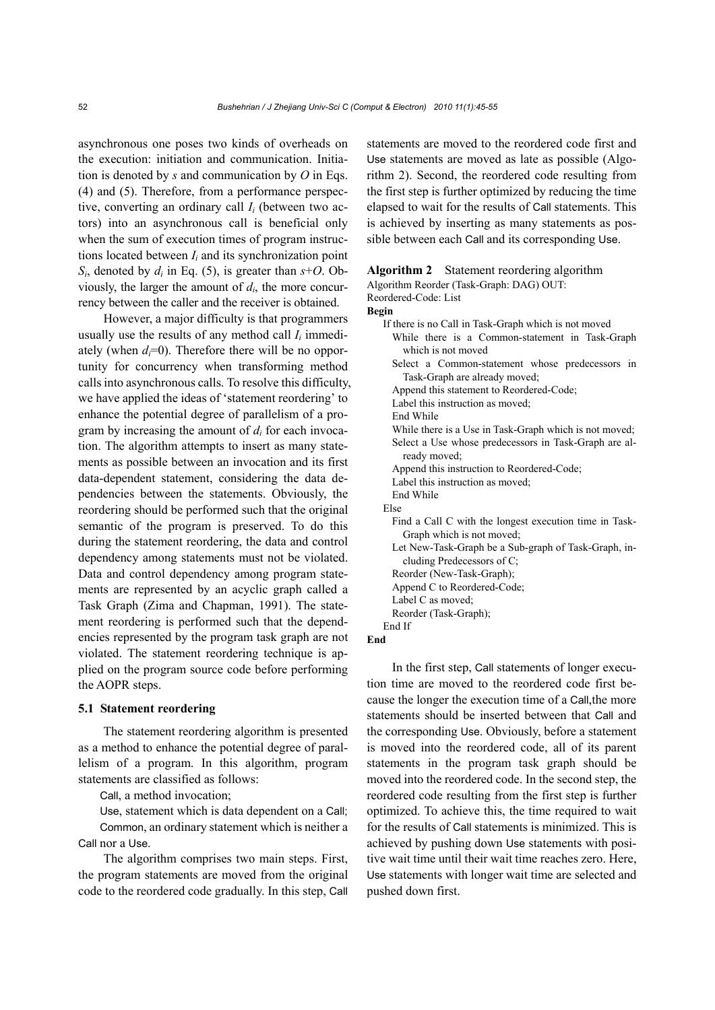**Begin** 

asynchronous one poses two kinds of overheads on the execution: initiation and communication. Initiation is denoted by *s* and communication by *O* in Eqs. (4) and (5). Therefore, from a performance perspective, converting an ordinary call *Ii* (between two actors) into an asynchronous call is beneficial only when the sum of execution times of program instructions located between  $I_i$  and its synchronization point  $S_i$ , denoted by  $d_i$  in Eq. (5), is greater than  $s+O$ . Obviously, the larger the amount of *di*, the more concurrency between the caller and the receiver is obtained.

However, a major difficulty is that programmers usually use the results of any method call  $I_i$  immediately (when  $d_i=0$ ). Therefore there will be no opportunity for concurrency when transforming method calls into asynchronous calls. To resolve this difficulty, we have applied the ideas of 'statement reordering' to enhance the potential degree of parallelism of a program by increasing the amount of *di* for each invocation. The algorithm attempts to insert as many statements as possible between an invocation and its first data-dependent statement, considering the data dependencies between the statements. Obviously, the reordering should be performed such that the original semantic of the program is preserved. To do this during the statement reordering, the data and control dependency among statements must not be violated. Data and control dependency among program statements are represented by an acyclic graph called a Task Graph (Zima and Chapman, 1991). The statement reordering is performed such that the dependencies represented by the program task graph are not violated. The statement reordering technique is applied on the program source code before performing the AOPR steps.

#### **5.1 Statement reordering**

The statement reordering algorithm is presented as a method to enhance the potential degree of parallelism of a program. In this algorithm, program statements are classified as follows:

Call, a method invocation;

Use, statement which is data dependent on a Call; Common, an ordinary statement which is neither a Call nor a Use.

The algorithm comprises two main steps. First, the program statements are moved from the original code to the reordered code gradually. In this step, Call statements are moved to the reordered code first and Use statements are moved as late as possible (Algorithm 2). Second, the reordered code resulting from the first step is further optimized by reducing the time elapsed to wait for the results of Call statements. This is achieved by inserting as many statements as possible between each Call and its corresponding Use.

| <b>Algorithm 2</b> Statement reordering algorithm                                   |
|-------------------------------------------------------------------------------------|
| Algorithm Reorder (Task-Graph: DAG) OUT:                                            |
| Reordered-Code: List                                                                |
| <b>Begin</b>                                                                        |
| If there is no Call in Task-Graph which is not moved                                |
| While there is a Common-statement in Task-Graph                                     |
| which is not moved                                                                  |
| Select a Common-statement whose predecessors<br>ın                                  |
| Task-Graph are already moved;                                                       |
| Append this statement to Reordered-Code;                                            |
| Label this instruction as moved;                                                    |
| End While                                                                           |
| While there is a Use in Task-Graph which is not moved;                              |
| Select a Use whose predecessors in Task-Graph are al-<br>ready moved;               |
| Append this instruction to Reordered-Code;                                          |
| Label this instruction as moved;                                                    |
| End While                                                                           |
| Else                                                                                |
| Find a Call C with the longest execution time in Task-<br>Graph which is not moved; |
| Let New-Task-Graph be a Sub-graph of Task-Graph, in-                                |
| cluding Predecessors of C;                                                          |
| Reorder (New-Task-Graph);                                                           |
| Append C to Reordered-Code;                                                         |
| Label C as moved;                                                                   |
| Reorder (Task-Graph);                                                               |
| End If                                                                              |
| End                                                                                 |

 $E$ 

In the first step, Call statements of longer execution time are moved to the reordered code first because the longer the execution time of a Call, the more statements should be inserted between that Call and the corresponding Use. Obviously, before a statement is moved into the reordered code, all of its parent statements in the program task graph should be moved into the reordered code. In the second step, the reordered code resulting from the first step is further optimized. To achieve this, the time required to wait for the results of Call statements is minimized. This is achieved by pushing down Use statements with positive wait time until their wait time reaches zero. Here, Use statements with longer wait time are selected and pushed down first.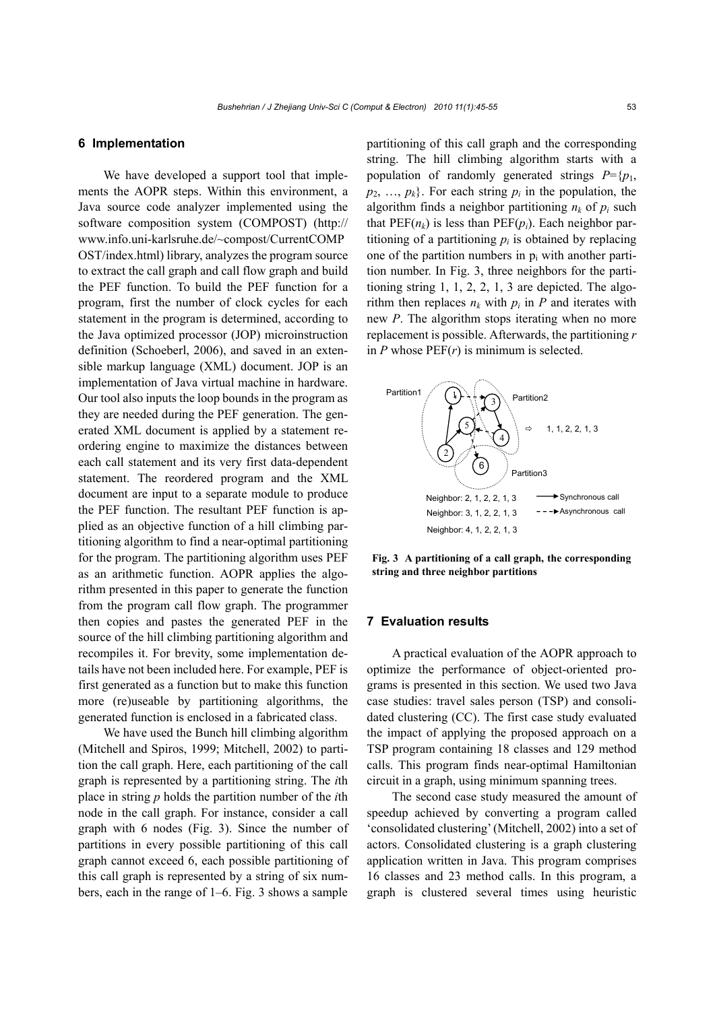#### **6 Implementation**

We have developed a support tool that implements the AOPR steps. Within this environment, a Java source code analyzer implemented using the software composition system (COMPOST) (http:// www.info.uni-karlsruhe.de/~compost/CurrentCOMP OST/index.html) library, analyzes the program source to extract the call graph and call flow graph and build the PEF function. To build the PEF function for a program, first the number of clock cycles for each statement in the program is determined, according to the Java optimized processor (JOP) microinstruction definition (Schoeberl, 2006), and saved in an extensible markup language (XML) document. JOP is an implementation of Java virtual machine in hardware. Our tool also inputs the loop bounds in the program as they are needed during the PEF generation. The generated XML document is applied by a statement reordering engine to maximize the distances between each call statement and its very first data-dependent statement. The reordered program and the XML document are input to a separate module to produce the PEF function. The resultant PEF function is applied as an objective function of a hill climbing partitioning algorithm to find a near-optimal partitioning for the program. The partitioning algorithm uses PEF as an arithmetic function. AOPR applies the algorithm presented in this paper to generate the function from the program call flow graph. The programmer then copies and pastes the generated PEF in the source of the hill climbing partitioning algorithm and recompiles it. For brevity, some implementation details have not been included here. For example, PEF is first generated as a function but to make this function more (re)useable by partitioning algorithms, the generated function is enclosed in a fabricated class.

We have used the Bunch hill climbing algorithm (Mitchell and Spiros, 1999; Mitchell, 2002) to partition the call graph. Here, each partitioning of the call graph is represented by a partitioning string. The *i*th place in string *p* holds the partition number of the *i*th node in the call graph. For instance, consider a call graph with 6 nodes (Fig. 3). Since the number of partitions in every possible partitioning of this call graph cannot exceed 6, each possible partitioning of this call graph is represented by a string of six numbers, each in the range of 1–6. Fig. 3 shows a sample

partitioning of this call graph and the corresponding string. The hill climbing algorithm starts with a population of randomly generated strings  $P = \{p_1,$  $p_2, \ldots, p_k$ . For each string  $p_i$  in the population, the algorithm finds a neighbor partitioning  $n_k$  of  $p_i$  such that  $PEF(n_k)$  is less than  $PEF(p_i)$ . Each neighbor partitioning of a partitioning  $p_i$  is obtained by replacing one of the partition numbers in  $p_i$  with another partition number. In Fig. 3, three neighbors for the partitioning string 1, 1, 2, 2, 1, 3 are depicted. The algorithm then replaces  $n_k$  with  $p_i$  in *P* and iterates with new *P*. The algorithm stops iterating when no more replacement is possible. Afterwards, the partitioning *r* in *P* whose PEF(*r*) is minimum is selected.



**Fig. 3 A partitioning of a call graph, the corresponding string and three neighbor partitions** 

## **7 Evaluation results**

A practical evaluation of the AOPR approach to optimize the performance of object-oriented programs is presented in this section. We used two Java case studies: travel sales person (TSP) and consolidated clustering (CC). The first case study evaluated the impact of applying the proposed approach on a TSP program containing 18 classes and 129 method calls. This program finds near-optimal Hamiltonian circuit in a graph, using minimum spanning trees.

The second case study measured the amount of speedup achieved by converting a program called 'consolidated clustering' (Mitchell, 2002) into a set of actors. Consolidated clustering is a graph clustering application written in Java. This program comprises 16 classes and 23 method calls. In this program, a graph is clustered several times using heuristic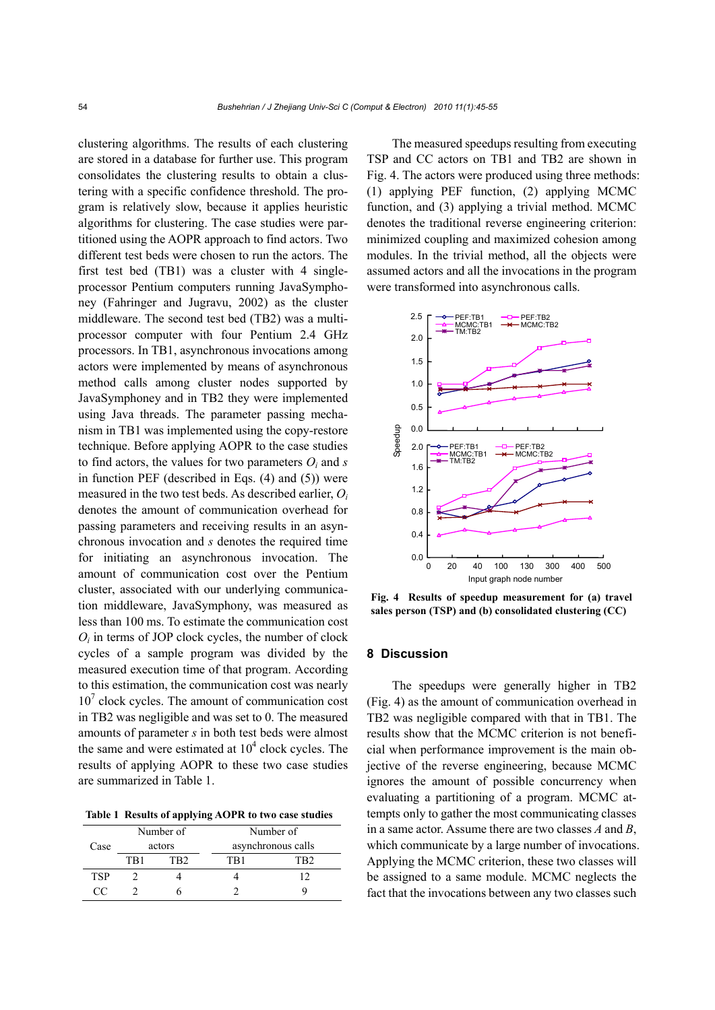clustering algorithms. The results of each clustering are stored in a database for further use. This program consolidates the clustering results to obtain a clustering with a specific confidence threshold. The program is relatively slow, because it applies heuristic algorithms for clustering. The case studies were partitioned using the AOPR approach to find actors. Two different test beds were chosen to run the actors. The first test bed (TB1) was a cluster with 4 singleprocessor Pentium computers running JavaSymphoney (Fahringer and Jugravu, 2002) as the cluster middleware. The second test bed (TB2) was a multiprocessor computer with four Pentium 2.4 GHz processors. In TB1, asynchronous invocations among actors were implemented by means of asynchronous method calls among cluster nodes supported by JavaSymphoney and in TB2 they were implemented using Java threads. The parameter passing mechanism in TB1 was implemented using the copy-restore technique. Before applying AOPR to the case studies to find actors, the values for two parameters  $O_i$  and  $s$ in function PEF (described in Eqs. (4) and (5)) were measured in the two test beds. As described earlier, *Oi* denotes the amount of communication overhead for passing parameters and receiving results in an asynchronous invocation and *s* denotes the required time for initiating an asynchronous invocation. The amount of communication cost over the Pentium cluster, associated with our underlying communication middleware, JavaSymphony, was measured as less than 100 ms. To estimate the communication cost  $O_i$  in terms of JOP clock cycles, the number of clock cycles of a sample program was divided by the measured execution time of that program. According to this estimation, the communication cost was nearly  $10<sup>7</sup>$  clock cycles. The amount of communication cost in TB2 was negligible and was set to 0. The measured amounts of parameter *s* in both test beds were almost the same and were estimated at  $10<sup>4</sup>$  clock cycles. The results of applying AOPR to these two case studies are summarized in Table 1.

**Table 1 Results of applying AOPR to two case studies**

| Case       | Number of<br>actors |     | Number of<br>asynchronous calls |                 |
|------------|---------------------|-----|---------------------------------|-----------------|
|            | TR1                 | TR2 | TR1                             | TR <sub>2</sub> |
| <b>TSP</b> |                     |     |                                 | 12              |
| CC         |                     |     |                                 |                 |

The measured speedups resulting from executing TSP and CC actors on TB1 and TB2 are shown in Fig. 4. The actors were produced using three methods: (1) applying PEF function, (2) applying MCMC function, and (3) applying a trivial method. MCMC denotes the traditional reverse engineering criterion: minimized coupling and maximized cohesion among modules. In the trivial method, all the objects were assumed actors and all the invocations in the program were transformed into asynchronous calls.



**Fig. 4 Results of speedup measurement for (a) travel sales person (TSP) and (b) consolidated clustering (CC)**

#### **8 Discussion**

The speedups were generally higher in TB2 (Fig. 4) as the amount of communication overhead in TB2 was negligible compared with that in TB1. The results show that the MCMC criterion is not beneficial when performance improvement is the main objective of the reverse engineering, because MCMC ignores the amount of possible concurrency when evaluating a partitioning of a program. MCMC attempts only to gather the most communicating classes in a same actor. Assume there are two classes *A* and *B*, which communicate by a large number of invocations. Applying the MCMC criterion, these two classes will be assigned to a same module. MCMC neglects the **Example 10**<br> **Example 10**<br> **EXECUTE:** THE THE TRISP CONCTRE TO THE TRISP CONCTRED 1.16<br> **1.2**<br> **1.2**<br> **1.2**<br> **1.3**<br> **1.4**<br> **1.9**<br> **1.9**<br> **1.9**<br> **1.9**<br> **1.9**<br> **1.9**<br> **1.9**<br> **1.9**<br> **1.9**<br> **1.9**<br> **1.9**<br> **1.9**<br> **1.9**<br> **1.9**<br>